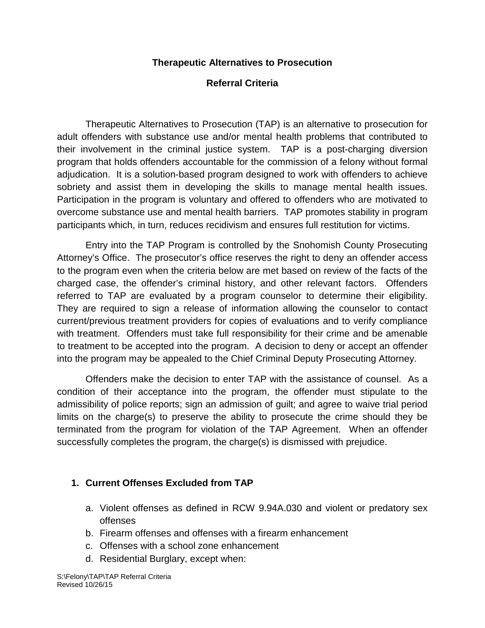## **Therapeutic Alternatives to Prosecution**

## **Referral Criteria**

Therapeutic Alternatives to Prosecution (TAP) is an alternative to prosecution for adult offenders with substance use and/or mental health problems that contributed to their involvement in the criminal justice system. TAP is a post-charging diversion program that holds offenders accountable for the commission of a felony without formal adjudication. It is a solution-based program designed to work with offenders to achieve sobriety and assist them in developing the skills to manage mental health issues. Participation in the program is voluntary and offered to offenders who are motivated to overcome substance use and mental health barriers. TAP promotes stability in program participants which, in turn, reduces recidivism and ensures full restitution for victims.

Entry into the TAP Program is controlled by the Snohomish County Prosecuting Attorney's Office. The prosecutor's office reserves the right to deny an offender access to the program even when the criteria below are met based on review of the facts of the charged case, the offender's criminal history, and other relevant factors. Offenders referred to TAP are evaluated by a program counselor to determine their eligibility. They are required to sign a release of information allowing the counselor to contact current/previous treatment providers for copies of evaluations and to verify compliance with treatment. Offenders must take full responsibility for their crime and be amenable to treatment to be accepted into the program. A decision to deny or accept an offender into the program may be appealed to the Chief Criminal Deputy Prosecuting Attorney.

Offenders make the decision to enter TAP with the assistance of counsel. As a condition of their acceptance into the program, the offender must stipulate to the admissibility of police reports; sign an admission of guilt; and agree to waive trial period limits on the charge(s) to preserve the ability to prosecute the crime should they be terminated from the program for violation of the TAP Agreement. When an offender successfully completes the program, the charge(s) is dismissed with prejudice.

## **1. Current Offenses Excluded from TAP**

- a. Violent offenses as defined in RCW 9.94A.030 and violent or predatory sex offenses
- b. Firearm offenses and offenses with a firearm enhancement
- c. Offenses with a school zone enhancement
- d. Residential Burglary, except when: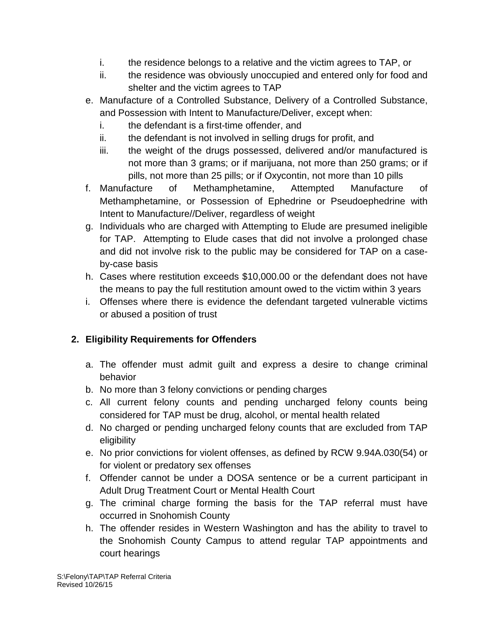- i. the residence belongs to a relative and the victim agrees to TAP, or
- ii. the residence was obviously unoccupied and entered only for food and shelter and the victim agrees to TAP
- e. Manufacture of a Controlled Substance, Delivery of a Controlled Substance, and Possession with Intent to Manufacture/Deliver, except when:
	- i. the defendant is a first-time offender, and
	- ii. the defendant is not involved in selling drugs for profit, and
	- iii. the weight of the drugs possessed, delivered and/or manufactured is not more than 3 grams; or if marijuana, not more than 250 grams; or if pills, not more than 25 pills; or if Oxycontin, not more than 10 pills
- f. Manufacture of Methamphetamine, Attempted Manufacture of Methamphetamine, or Possession of Ephedrine or Pseudoephedrine with Intent to Manufacture//Deliver, regardless of weight
- g. Individuals who are charged with Attempting to Elude are presumed ineligible for TAP. Attempting to Elude cases that did not involve a prolonged chase and did not involve risk to the public may be considered for TAP on a caseby-case basis
- h. Cases where restitution exceeds \$10,000.00 or the defendant does not have the means to pay the full restitution amount owed to the victim within 3 years
- i. Offenses where there is evidence the defendant targeted vulnerable victims or abused a position of trust

## **2. Eligibility Requirements for Offenders**

- a. The offender must admit guilt and express a desire to change criminal behavior
- b. No more than 3 felony convictions or pending charges
- c. All current felony counts and pending uncharged felony counts being considered for TAP must be drug, alcohol, or mental health related
- d. No charged or pending uncharged felony counts that are excluded from TAP eligibility
- e. No prior convictions for violent offenses, as defined by RCW 9.94A.030(54) or for violent or predatory sex offenses
- f. Offender cannot be under a DOSA sentence or be a current participant in Adult Drug Treatment Court or Mental Health Court
- g. The criminal charge forming the basis for the TAP referral must have occurred in Snohomish County
- h. The offender resides in Western Washington and has the ability to travel to the Snohomish County Campus to attend regular TAP appointments and court hearings